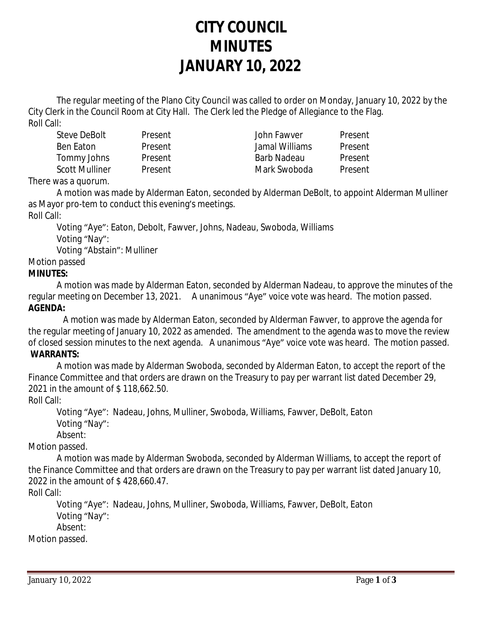# **CITY COUNCIL MINUTES JANUARY 10, 2022**

The regular meeting of the Plano City Council was called to order on Monday, January 10, 2022 by the City Clerk in the Council Room at City Hall. The Clerk led the Pledge of Allegiance to the Flag. Roll Call:

Steve DeBolt Present John Fawver Present Ben Eaton Present Jamal Williams Present Tommy Johns Present Barb Nadeau Present Scott Mulliner Present **Mark Swoboda** Present

There was a quorum.

A motion was made by Alderman Eaton, seconded by Alderman DeBolt, to appoint Alderman Mulliner as Mayor pro-tem to conduct this evening's meetings.

Roll Call:

Voting "Aye": Eaton, Debolt, Fawver, Johns, Nadeau, Swoboda, Williams Voting "Nay": Voting "Abstain": Mulliner

## Motion passed

## **MINUTES:**

A motion was made by Alderman Eaton, seconded by Alderman Nadeau, to approve the minutes of the regular meeting on December 13, 2021. A unanimous "Aye" voice vote was heard. The motion passed. **AGENDA:**

 A motion was made by Alderman Eaton, seconded by Alderman Fawver, to approve the agenda for the regular meeting of January 10, 2022 as amended. The amendment to the agenda was to move the review of closed session minutes to the next agenda. A unanimous "Aye" voice vote was heard. The motion passed. **WARRANTS:**

A motion was made by Alderman Swoboda, seconded by Alderman Eaton, to accept the report of the Finance Committee and that orders are drawn on the Treasury to pay per warrant list dated December 29, 2021 in the amount of \$ 118,662.50.

Roll Call:

Voting "Aye": Nadeau, Johns, Mulliner, Swoboda, Williams, Fawver, DeBolt, Eaton Voting "Nay": Absent:

Motion passed.

A motion was made by Alderman Swoboda, seconded by Alderman Williams, to accept the report of the Finance Committee and that orders are drawn on the Treasury to pay per warrant list dated January 10, 2022 in the amount of \$ 428,660.47.

Roll Call:

Voting "Aye": Nadeau, Johns, Mulliner, Swoboda, Williams, Fawver, DeBolt, Eaton Voting "Nay": Absent:

Motion passed.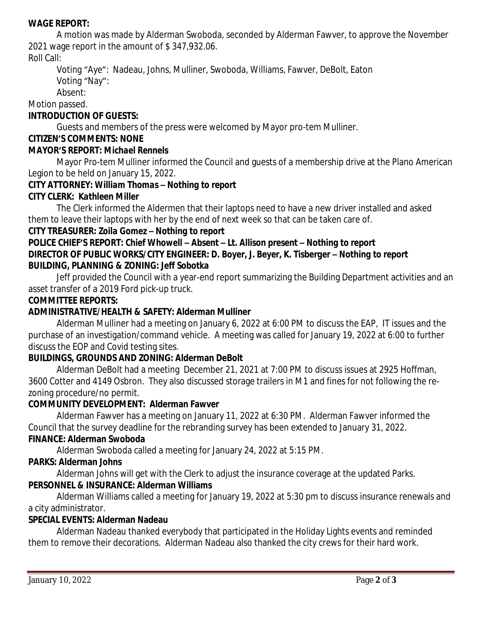#### **WAGE REPORT:**

A motion was made by Alderman Swoboda, seconded by Alderman Fawver, to approve the November 2021 wage report in the amount of \$ 347,932.06.

## Roll Call:

Voting "Aye": Nadeau, Johns, Mulliner, Swoboda, Williams, Fawver, DeBolt, Eaton Voting "Nay":

Absent:

Motion passed.

## **INTRODUCTION OF GUESTS:**

Guests and members of the press were welcomed by Mayor pro-tem Mulliner.

### **CITIZEN'S COMMENTS: NONE**

#### **MAYOR'S REPORT:** *Michael Rennels*

Mayor Pro-tem Mulliner informed the Council and guests of a membership drive at the Plano American Legion to be held on January 15, 2022.

## **CITY ATTORNEY:** *William Thomas – Nothing to report*

## **CITY CLERK:** *Kathleen Miller*

The Clerk informed the Aldermen that their laptops need to have a new driver installed and asked them to leave their laptops with her by the end of next week so that can be taken care of.

#### **CITY TREASURER***: Zoila Gomez – Nothing to report*

## **POLICE CHIEF'S REPORT:** *Chief Whowell – Absent – Lt. Allison present – Nothing to report* **DIRECTOR OF PUBLIC WORKS/CITY ENGINEER***: D. Boyer, J. Beyer, K. Tisberger – Nothing to report* **BUILDING, PLANNING & ZONING:** *Jeff Sobotka*

Jeff provided the Council with a year-end report summarizing the Building Department activities and an asset transfer of a 2019 Ford pick-up truck.

#### **COMMITTEE REPORTS:**

## **ADMINISTRATIVE/HEALTH & SAFETY: Alderman Mulliner**

Alderman Mulliner had a meeting on January 6, 2022 at 6:00 PM to discuss the EAP, IT issues and the purchase of an investigation/command vehicle. A meeting was called for January 19, 2022 at 6:00 to further discuss the EOP and Covid testing sites.

#### **BUILDINGS, GROUNDS AND ZONING: Alderman DeBolt**

Alderman DeBolt had a meeting December 21, 2021 at 7:00 PM to discuss issues at 2925 Hoffman, 3600 Cotter and 4149 Osbron. They also discussed storage trailers in M1 and fines for not following the rezoning procedure/no permit.

#### **COMMUNITY DEVELOPMENT: Alderman Fawver**

Alderman Fawver has a meeting on January 11, 2022 at 6:30 PM. Alderman Fawver informed the Council that the survey deadline for the rebranding survey has been extended to January 31, 2022.

#### **FINANCE: Alderman Swoboda**

Alderman Swoboda called a meeting for January 24, 2022 at 5:15 PM.

#### **PARKS: Alderman Johns**

Alderman Johns will get with the Clerk to adjust the insurance coverage at the updated Parks. **PERSONNEL & INSURANCE: Alderman Williams**

Alderman Williams called a meeting for January 19, 2022 at 5:30 pm to discuss insurance renewals and a city administrator.

## **SPECIAL EVENTS: Alderman Nadeau**

Alderman Nadeau thanked everybody that participated in the Holiday Lights events and reminded them to remove their decorations. Alderman Nadeau also thanked the city crews for their hard work.